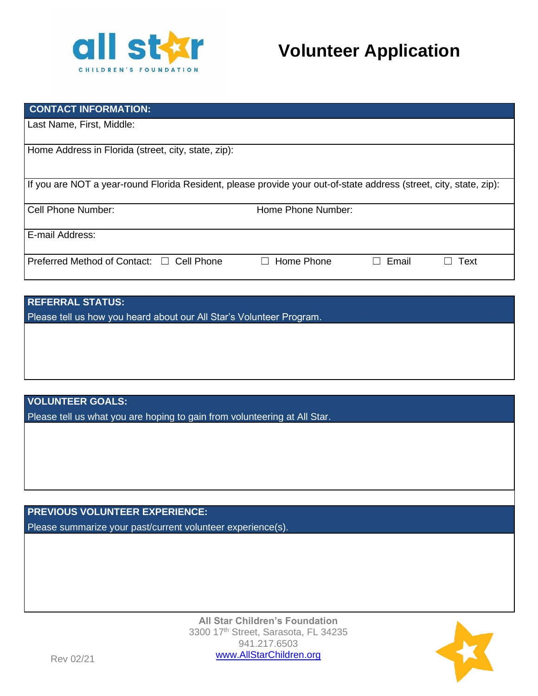

# **Volunteer Application**

| <b>CONTACT INFORMATION:</b>                                                                                        |                    |       |      |  |  |
|--------------------------------------------------------------------------------------------------------------------|--------------------|-------|------|--|--|
| Last Name, First, Middle:                                                                                          |                    |       |      |  |  |
| Home Address in Florida (street, city, state, zip):                                                                |                    |       |      |  |  |
| If you are NOT a year-round Florida Resident, please provide your out-of-state address (street, city, state, zip): |                    |       |      |  |  |
| Cell Phone Number:                                                                                                 | Home Phone Number: |       |      |  |  |
| E-mail Address:                                                                                                    |                    |       |      |  |  |
| Preferred Method of Contact: □ Cell Phone                                                                          | Home Phone         | Email | Text |  |  |

| <b>REFERRAL STATUS:</b>                                              |
|----------------------------------------------------------------------|
| Please tell us how you heard about our All Star's Volunteer Program. |
|                                                                      |
|                                                                      |
|                                                                      |
|                                                                      |

**VOLUNTEER GOALS:**

Please tell us what you are hoping to gain from volunteering at All Star.

**PREVIOUS VOLUNTEER EXPERIENCE:** Please summarize your past/current volunteer experience(s).

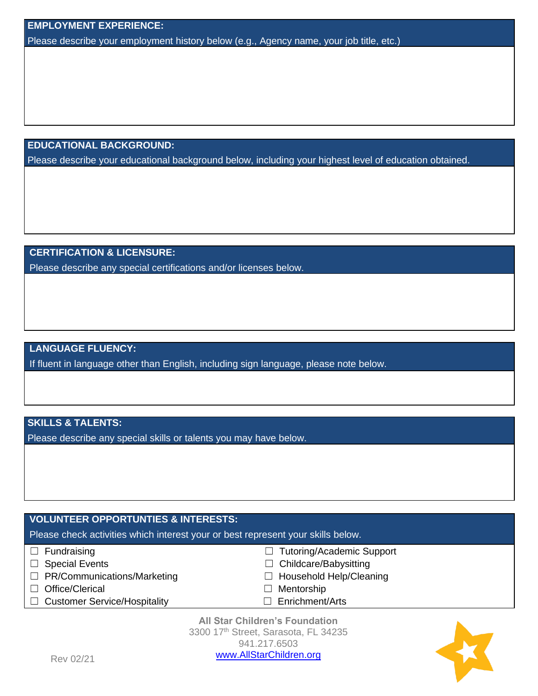Please describe your employment history below (e.g., Agency name, your job title, etc.)

**EDUCATIONAL BACKGROUND:**

Please describe your educational background below, including your highest level of education obtained.

## **CERTIFICATION & LICENSURE:**

Please describe any special certifications and/or licenses below.

### **LANGUAGE FLUENCY:**

If fluent in language other than English, including sign language, please note below.

## **SKILLS & TALENTS:**

Please describe any special skills or talents you may have below.

# **VOLUNTEER OPPORTUNTIES & INTERESTS:**

Please check activities which interest your or best represent your skills below.

- 
- ☐ Special Events ☐ Childcare/Babysitting
- ☐ PR/Communications/Marketing ☐ Household Help/Cleaning
- ☐ Office/Clerical ☐ Mentorship
- ☐ Customer Service/Hospitality ☐ Enrichment/Arts
- ☐ Fundraising ☐ Tutoring/Academic Support
	-
	-
	-
	-

**All Star Children's Foundation** 3300 17<sup>th</sup> Street, Sarasota, FL 34235 941.217.6503 [www.AllStarChildren](http://www.allstarchildrensfoundation.org/).org